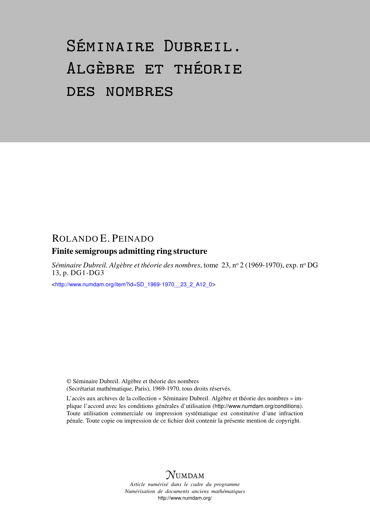# Séminaire Dubreil. Algèbre et théorie des nombres

## ROLANDO E. PEINADO

## Finite semigroups admitting ring structure

*Séminaire Dubreil. Algèbre et théorie des nombres*, tome 23, n<sup>o</sup> 2 (1969-1970), exp. n<sup>o</sup> DG 13, p. DG1-DG3

<[http://www.numdam.org/item?id=SD\\_1969-1970\\_\\_23\\_2\\_A12\\_0](http://www.numdam.org/item?id=SD_1969-1970__23_2_A12_0)>

© Séminaire Dubreil. Algèbre et théorie des nombres (Secrétariat mathématique, Paris), 1969-1970, tous droits réservés.

L'accès aux archives de la collection « Séminaire Dubreil. Algèbre et théorie des nombres » implique l'accord avec les conditions générales d'utilisation (<http://www.numdam.org/conditions>). Toute utilisation commerciale ou impression systématique est constitutive d'une infraction pénale. Toute copie ou impression de ce fichier doit contenir la présente mention de copyright.



*Article numérisé dans le cadre du programme Numérisation de documents anciens mathématiques* <http://www.numdam.org/>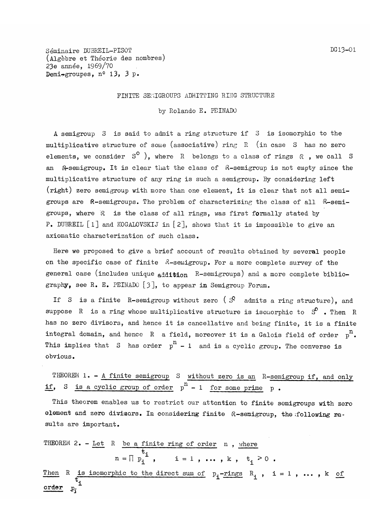Seminaire DUBREIL-PISOT (Algèbre et Théorie des nombres) 23e année, 1969/70 Demi-groupes,  $n^o$  13, 3 p.

### FINITE SEMIGROUPS ADMITTING RING STRUCTURE

by Rolando E. PEINADO

A semigroup S is said to admit a ring structure if 3 is isomorphic to the multiplicative structure of some (associative) ring R (in case S has no zero elements, we consider  $S^O$  ), where R belongs to a class of rings  $R$ , we call S an R-semigroup. It is clear that the class of R-semigroup is not empty since the multiplicative structure of any ring is such a semigroup. By considering left (right) zero semigroup with more than one element, it is clear that not all semigroups are R-semigroups. The problem of characterizing the class of all R-semigroups, where  $R$  is the class of all rings, was first formally stated by P. DUBREIL  $[1]$  and KOGALOVSKIJ in  $[2]$ , shows that it is impossible to give an axiomatic characterization of such class.

Here we proposed to give a brief account of results obtained by several people on the specific case of finite  $\alpha$ -semigroup. For a more complete survey of the general case (includes unique  $\alpha$ ddition R-semigroups) and a more complete bibliography, see R. E. PEINADO  $[3]$ , to appear in Semigroup Forum.

If S is a finite R-semigroup without zero ( $S^2$  admits a ring structure), and suppose R is a ring whose multiplicative structure is isomorphic to  $S^0$  . Then R has no zero divisors, and hence it is cancellative and being finite, it is a finite integral domain, and hence R a field, moreover it is a Galois field of order  $p^n$ . This implies that S has order  $p^{n} - 1$  and is a cyclic group. The converse is obvious.

THEOREM 1. - A finite semigroup S without zero is an R-semigroup if, and only if, S is a cyclic group of order  $p^{n} - 1$  for some prime p.

This theorem enables us to restrict our attention to finite semigroups with zero element and zero divisors. In considering finite R-semigroup, the following results are important.

THEOREM 2. - Let R be a finite ring of order n, where  
\n
$$
n = \prod p_i
$$
,  $i = 1$ , ..., k,  $t_i > 0$ .  
\nThen R is isomorphic to the direct sum of  $p_i$ -rings  $R_i$ ,  $i = 1$ , ..., k of  
\norder  $p_i$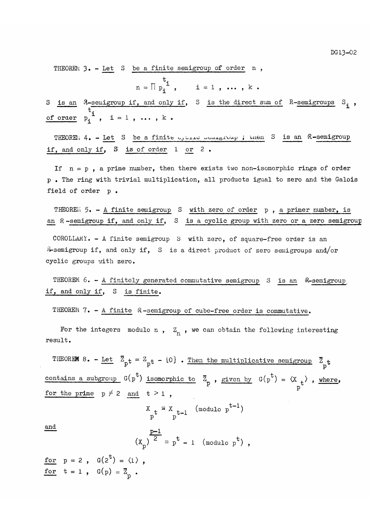THEOREM  $3. -$  Let S be a finite semigroup of order n,

$$
n = \prod_{i=1}^{t} , \quad i = 1, ..., k
$$

S is an  $\mathcal{R}$ -semigroup if, and only if, S is the direct sum of  $R$ -semigroups  $S_i$ , of order  $p_i^i$ , i = 1, ..., k.

THEOREM 4. - Let S be a finite oyone semigroup ; then S is an R-semigroup if, and only if, S is of order 1 or 2 .

If  $n = p$ , a prime number, then there exists two non-isomorphic rings of order p . The ring with trivial multiplication, all products igual to zero and the Galois field of order p.

THEOREM 5. - A finite semigroup S with zero of order p, a primer number, is an R-semigroup if, and only if, S is a cyclic group with zero or a zero semigroup

COROLLARY. - A finite semigroup S with zero, of square-free order is an **R-semigroup if, and only if,** S is a direct product of zero semigroups and/or cyclic groups with zero.

THEOREM 6. - A finitely generated commutative semigroup S is an R-semigroup if, and only if, S is finite.

THEOREM 7. - A finite R-semigroup of cube-free order is commutative.

For the integers modulo n,  $Z_n$ , we can obtain the following interesting result.

THEOREM 8. - Let  $\overline{z}_{pt} = z_{pt} - \{0\}$ . Then the multiplicative semigroup  $\overline{z}_{pt}$ contains a subgroup  $G(p^{\circ})$  isomorphic to  $\overline{Z}_p$ , given by  $G(p^{\circ}) = \langle X \rangle_t$ , where, for the prime  $p \neq 2$  and  $t > 1$ ,

$$
x_{p^t} = x_{p^{t-1}}
$$
 (modulo  $p^{t-1}$ )

and

$$
\left(x_{p}\right)^{\frac{p-1}{2}} \equiv p^{t} - 1 \pmod{p^{t}},
$$

for  $p = 2$ ,  $G(2^t) = \langle 1 \rangle$ ,<br>for  $t = 1$ ,  $G(p) = \overline{Z}_p$ .